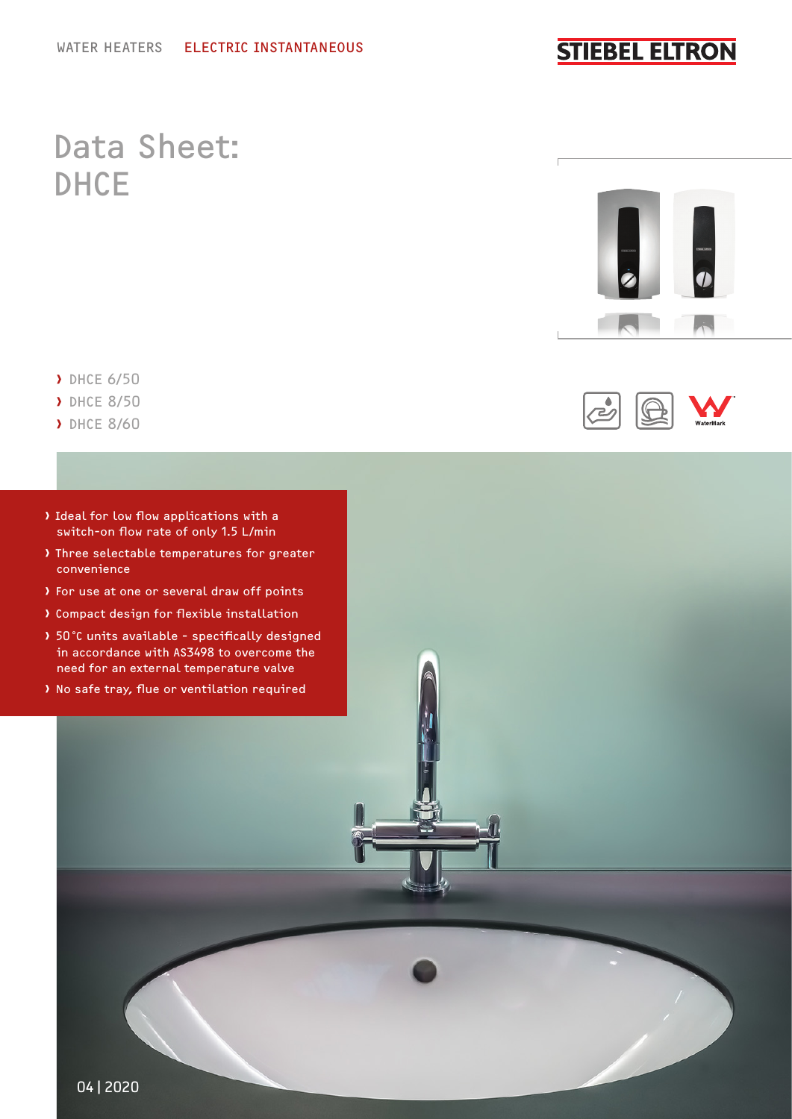### **STIEBEL ELTRON**

## Data Sheet: DHCE



رنے

- › DHCE 6/50
- › DHCE 8/50
- › DHCE 8/60
- › Ideal for low flow applications with a switch-on flow rate of only 1.5 L/min
- › Three selectable temperatures for greater convenience
- › For use at one or several draw off points
- › Compact design for flexible installation
- › 50°C units available specifically designed in accordance with AS3498 to overcome the need for an external temperature valve
- › No safe tray, flue or ventilation required